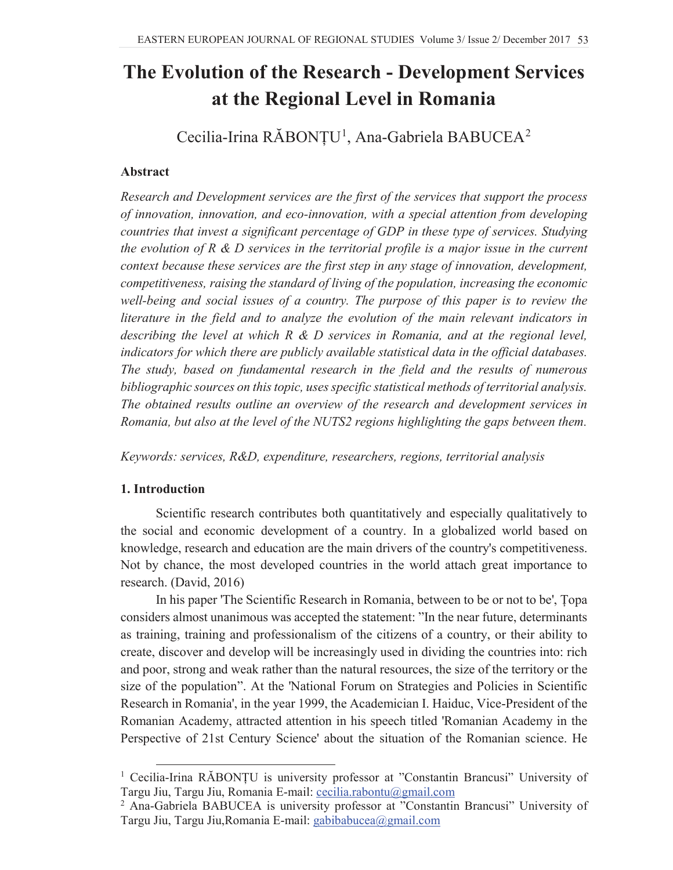# **The Evolution of the Research - Development Services at the Regional Level in Romania**

Cecilia-Irina RĂBONȚU<sup>1</sup>, Ana-Gabriela BABUCEA<sup>2</sup>

## **Abstract**

*Research and Development services are the first of the services that support the process of innovation, innovation, and eco-innovation, with a special attention from developing countries that invest a significant percentage of GDP in these type of services. Studying the evolution of R & D services in the territorial profile is a major issue in the current context because these services are the first step in any stage of innovation, development, competitiveness, raising the standard of living of the population, increasing the economic well-being and social issues of a country. The purpose of this paper is to review the literature in the field and to analyze the evolution of the main relevant indicators in describing the level at which R & D services in Romania, and at the regional level, indicators for which there are publicly available statistical data in the official databases. The study, based on fundamental research in the field and the results of numerous bibliographic sources on this topic, uses specific statistical methods of territorial analysis. The obtained results outline an overview of the research and development services in Romania, but also at the level of the NUTS2 regions highlighting the gaps between them.*

*Keywords: services, R&D, expenditure, researchers, regions, territorial analysis* 

# **1. Introduction**

Scientific research contributes both quantitatively and especially qualitatively to the social and economic development of a country. In a globalized world based on knowledge, research and education are the main drivers of the country's competitiveness. Not by chance, the most developed countries in the world attach great importance to research. (David, 2016)

In his paper 'The Scientific Research in Romania, between to be or not to be', Topa considers almost unanimous was accepted the statement: "In the near future, determinants as training, training and professionalism of the citizens of a country, or their ability to create, discover and develop will be increasingly used in dividing the countries into: rich and poor, strong and weak rather than the natural resources, the size of the territory or the size of the population". At the 'National Forum on Strategies and Policies in Scientific Research in Romania', in the year 1999, the Academician I. Haiduc, Vice-President of the Romanian Academy, attracted attention in his speech titled 'Romanian Academy in the Perspective of 21st Century Science' about the situation of the Romanian science. He

 $1$  Cecilia-Irina RĂBONȚU is university professor at "Constantin Brancusi" University of Targu Jiu, Targu Jiu, Romania E-mail: cecilia.rabontu@gmail.com

<sup>2</sup> Ana-Gabriela BABUCEA is university professor at "Constantin Brancusi" University of Targu Jiu, Targu Jiu,Romania E-mail: gabibabucea@gmail.com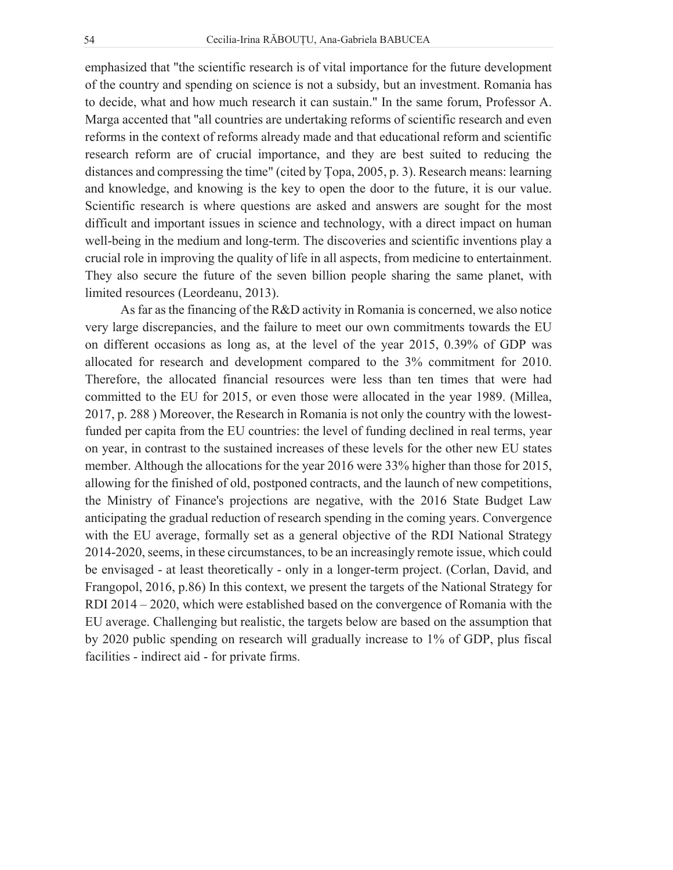emphasized that "the scientific research is of vital importance for the future development of the country and spending on science is not a subsidy, but an investment. Romania has to decide, what and how much research it can sustain." In the same forum, Professor A. Marga accented that "all countries are undertaking reforms of scientific research and even reforms in the context of reforms already made and that educational reform and scientific research reform are of crucial importance, and they are best suited to reducing the distances and compressing the time" (cited by Topa, 2005, p. 3). Research means: learning and knowledge, and knowing is the key to open the door to the future, it is our value. Scientific research is where questions are asked and answers are sought for the most difficult and important issues in science and technology, with a direct impact on human well-being in the medium and long-term. The discoveries and scientific inventions play a crucial role in improving the quality of life in all aspects, from medicine to entertainment. They also secure the future of the seven billion people sharing the same planet, with limited resources (Leordeanu, 2013).

As far as the financing of the R&D activity in Romania is concerned, we also notice very large discrepancies, and the failure to meet our own commitments towards the EU on different occasions as long as, at the level of the year 2015, 0.39% of GDP was allocated for research and development compared to the 3% commitment for 2010. Therefore, the allocated financial resources were less than ten times that were had committed to the EU for 2015, or even those were allocated in the year 1989. (Millea, 2017, p. 288 ) Moreover, the Research in Romania is not only the country with the lowestfunded per capita from the EU countries: the level of funding declined in real terms, year on year, in contrast to the sustained increases of these levels for the other new EU states member. Although the allocations for the year 2016 were 33% higher than those for 2015, allowing for the finished of old, postponed contracts, and the launch of new competitions, the Ministry of Finance's projections are negative, with the 2016 State Budget Law anticipating the gradual reduction of research spending in the coming years. Convergence with the EU average, formally set as a general objective of the RDI National Strategy 2014-2020, seems, in these circumstances, to be an increasingly remote issue, which could be envisaged - at least theoretically - only in a longer-term project. (Corlan, David, and Frangopol, 2016, p.86) In this context, we present the targets of the National Strategy for RDI 2014 – 2020, which were established based on the convergence of Romania with the EU average. Challenging but realistic, the targets below are based on the assumption that by 2020 public spending on research will gradually increase to 1% of GDP, plus fiscal facilities - indirect aid - for private firms.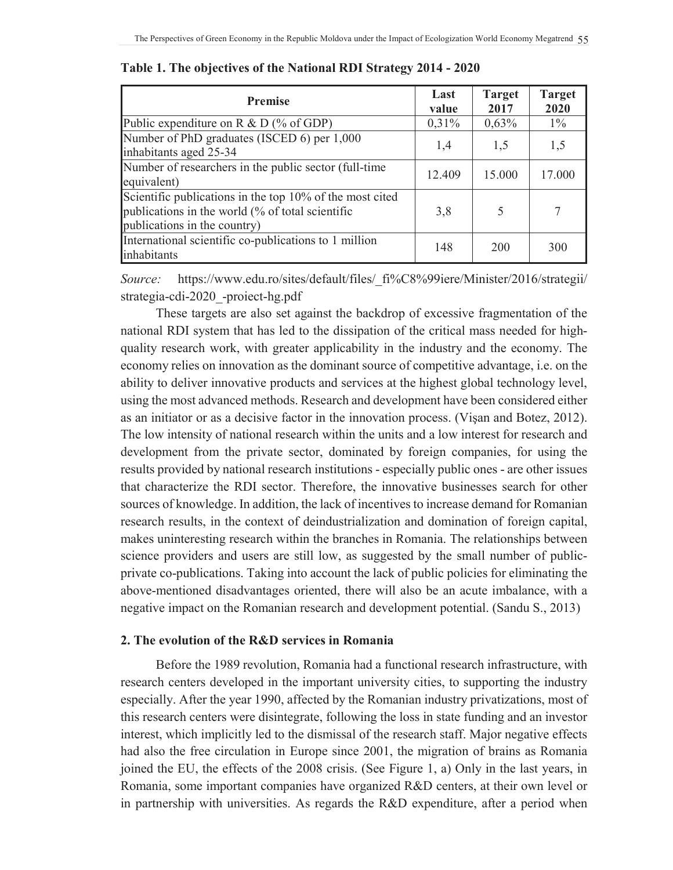| <b>Premise</b>                                                                                                                               | Last<br>value | <b>Target</b><br>2017 | <b>Target</b><br>2020 |
|----------------------------------------------------------------------------------------------------------------------------------------------|---------------|-----------------------|-----------------------|
| Public expenditure on R $&$ D (% of GDP)                                                                                                     | 0,31%         | 0,63%                 | $1\%$                 |
| Number of PhD graduates (ISCED 6) per 1,000<br>inhabitants aged 25-34                                                                        | 1,4           | 1,5                   | 1,5                   |
| Number of researchers in the public sector (full-time<br>equivalent)                                                                         | 12.409        | 15.000                | 17.000                |
| Scientific publications in the top 10% of the most cited<br>publications in the world (% of total scientific<br>publications in the country) | 3,8           |                       | 7                     |
| International scientific co-publications to 1 million<br>inhabitants                                                                         | 148           | 200                   | 300                   |

**Table 1. The objectives of the National RDI Strategy 2014 - 2020** 

*Source:* https://www.edu.ro/sites/default/files/\_fi%C8%99iere/Minister/2016/strategii/ strategia-cdi-2020\_-proiect-hg.pdf

These targets are also set against the backdrop of excessive fragmentation of the national RDI system that has led to the dissipation of the critical mass needed for highquality research work, with greater applicability in the industry and the economy. The economy relies on innovation as the dominant source of competitive advantage, i.e. on the ability to deliver innovative products and services at the highest global technology level, using the most advanced methods. Research and development have been considered either as an initiator or as a decisive factor in the innovation process. (Vișan and Botez, 2012). The low intensity of national research within the units and a low interest for research and development from the private sector, dominated by foreign companies, for using the results provided by national research institutions - especially public ones - are other issues that characterize the RDI sector. Therefore, the innovative businesses search for other sources of knowledge. In addition, the lack of incentives to increase demand for Romanian research results, in the context of deindustrialization and domination of foreign capital, makes uninteresting research within the branches in Romania. The relationships between science providers and users are still low, as suggested by the small number of publicprivate co-publications. Taking into account the lack of public policies for eliminating the above-mentioned disadvantages oriented, there will also be an acute imbalance, with a negative impact on the Romanian research and development potential. (Sandu S., 2013)

### **2. The evolution of the R&D services in Romania**

Before the 1989 revolution, Romania had a functional research infrastructure, with research centers developed in the important university cities, to supporting the industry especially. After the year 1990, affected by the Romanian industry privatizations, most of this research centers were disintegrate, following the loss in state funding and an investor interest, which implicitly led to the dismissal of the research staff. Major negative effects had also the free circulation in Europe since 2001, the migration of brains as Romania joined the EU, the effects of the 2008 crisis. (See Figure 1, a) Only in the last years, in Romania, some important companies have organized R&D centers, at their own level or in partnership with universities. As regards the R&D expenditure, after a period when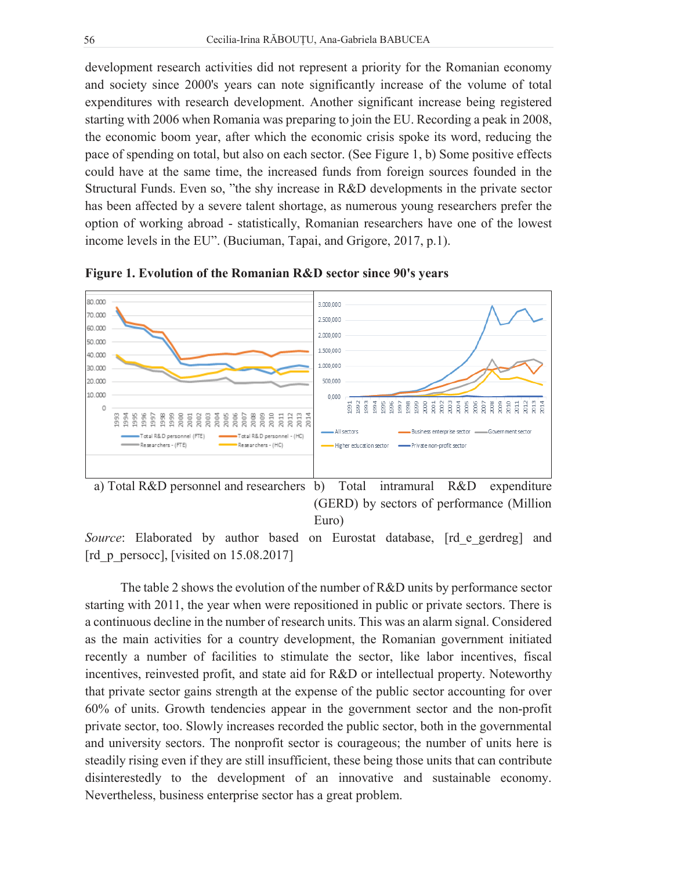development research activities did not represent a priority for the Romanian economy and society since 2000's years can note significantly increase of the volume of total expenditures with research development. Another significant increase being registered starting with 2006 when Romania was preparing to join the EU. Recording a peak in 2008, the economic boom year, after which the economic crisis spoke its word, reducing the pace of spending on total, but also on each sector. (See Figure 1, b) Some positive effects could have at the same time, the increased funds from foreign sources founded in the Structural Funds. Even so, "the shy increase in R&D developments in the private sector has been affected by a severe talent shortage, as numerous young researchers prefer the option of working abroad - statistically, Romanian researchers have one of the lowest income levels in the EU". (Buciuman, Tapai, and Grigore, 2017, p.1).



**Figure 1. Evolution of the Romanian R&D sector since 90's years** 



*Source*: Elaborated by author based on Eurostat database, [rd e gerdreg] and [rd  $p$  persocc], [visited on 15.08.2017]

The table 2 shows the evolution of the number of R&D units by performance sector starting with 2011, the year when were repositioned in public or private sectors. There is a continuous decline in the number of research units. This was an alarm signal. Considered as the main activities for a country development, the Romanian government initiated recently a number of facilities to stimulate the sector, like labor incentives, fiscal incentives, reinvested profit, and state aid for R&D or intellectual property. Noteworthy that private sector gains strength at the expense of the public sector accounting for over 60% of units. Growth tendencies appear in the government sector and the non-profit private sector, too. Slowly increases recorded the public sector, both in the governmental and university sectors. The nonprofit sector is courageous; the number of units here is steadily rising even if they are still insufficient, these being those units that can contribute disinterestedly to the development of an innovative and sustainable economy. Nevertheless, business enterprise sector has a great problem.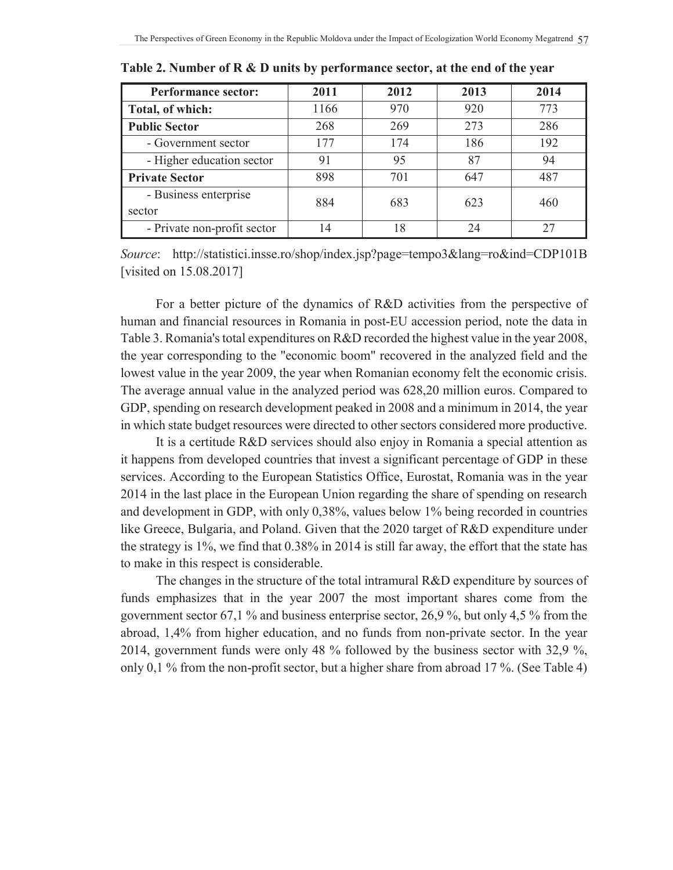| <b>Performance sector:</b>  | 2011 | 2012 | 2013 | 2014 |
|-----------------------------|------|------|------|------|
| Total, of which:            | 1166 | 970  | 920  | 773  |
| <b>Public Sector</b>        | 268  | 269  | 273  | 286  |
| - Government sector         | 177  | 174  | 186  | 192  |
| - Higher education sector   | 91   | 95   | 87   | 94   |
| <b>Private Sector</b>       | 898  | 701  | 647  | 487  |
| - Business enterprise       | 884  | 683  | 623  | 460  |
| sector                      |      |      |      |      |
| - Private non-profit sector | 14   | 18   | 24   | 27   |

**Table 2. Number of R & D units by performance sector, at the end of the year**

*Source*: http://statistici.insse.ro/shop/index.jsp?page=tempo3&lang=ro&ind=CDP101B [visited on 15.08.2017]

For a better picture of the dynamics of R&D activities from the perspective of human and financial resources in Romania in post-EU accession period, note the data in Table 3. Romania's total expenditures on R&D recorded the highest value in the year 2008, the year corresponding to the "economic boom" recovered in the analyzed field and the lowest value in the year 2009, the year when Romanian economy felt the economic crisis. The average annual value in the analyzed period was 628,20 million euros. Compared to GDP, spending on research development peaked in 2008 and a minimum in 2014, the year in which state budget resources were directed to other sectors considered more productive.

It is a certitude R&D services should also enjoy in Romania a special attention as it happens from developed countries that invest a significant percentage of GDP in these services. According to the European Statistics Office, Eurostat, Romania was in the year 2014 in the last place in the European Union regarding the share of spending on research and development in GDP, with only 0,38%, values below 1% being recorded in countries like Greece, Bulgaria, and Poland. Given that the 2020 target of R&D expenditure under the strategy is 1%, we find that 0.38% in 2014 is still far away, the effort that the state has to make in this respect is considerable.

The changes in the structure of the total intramural R&D expenditure by sources of funds emphasizes that in the year 2007 the most important shares come from the government sector 67,1 % and business enterprise sector, 26,9 %, but only 4,5 % from the abroad, 1,4% from higher education, and no funds from non-private sector. In the year 2014, government funds were only 48 % followed by the business sector with 32,9 %, only 0,1 % from the non-profit sector, but a higher share from abroad 17 %. (See Table 4)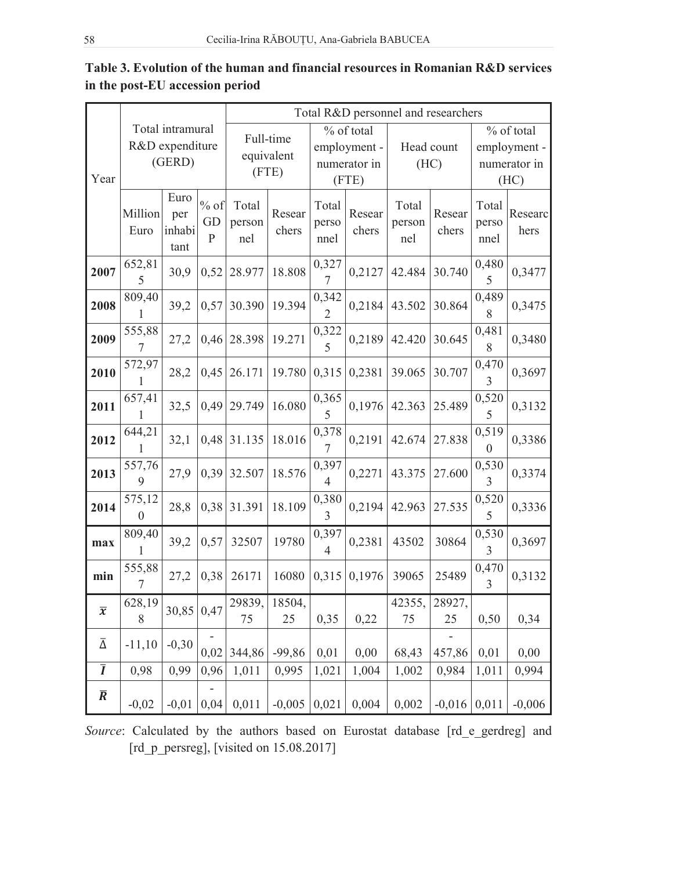|                          |                                               |                               |                              |                                  |                 |                                                     |                 | Total R&D personnel and researchers |                 |                                                    |                 |
|--------------------------|-----------------------------------------------|-------------------------------|------------------------------|----------------------------------|-----------------|-----------------------------------------------------|-----------------|-------------------------------------|-----------------|----------------------------------------------------|-----------------|
| Year                     | Total intramural<br>R&D expenditure<br>(GERD) |                               |                              | Full-time<br>equivalent<br>(FTE) |                 | % of total<br>employment -<br>numerator in<br>(FTE) |                 | Head count<br>(HC)                  |                 | % of total<br>employment -<br>numerator in<br>(HC) |                 |
|                          | Million<br>Euro                               | Euro<br>per<br>inhabi<br>tant | $%$ of<br>GD<br>$\mathbf{P}$ | Total<br>person<br>nel           | Resear<br>chers | Total<br>perso<br>nnel                              | Resear<br>chers | Total<br>person<br>nel              | Resear<br>chers | Total<br>perso<br>nnel                             | Researc<br>hers |
| 2007                     | 652,81<br>5                                   | 30,9                          | 0,52                         | 28.977                           | 18.808          | 0,327<br>$\overline{7}$                             | 0,2127          | 42.484                              | 30.740          | 0,480<br>5                                         | 0,3477          |
| 2008                     | 809,40<br>1                                   | 39,2                          | 0,57                         | 30.390                           | 19.394          | 0,342<br>$\overline{2}$                             | 0,2184          | 43.502                              | 30.864          | 0,489<br>8                                         | 0,3475          |
| 2009                     | 555,88<br>7                                   | 27,2                          | 0,46                         | 28.398                           | 19.271          | 0,322<br>5                                          | 0,2189          | 42.420                              | 30.645          | 0,481<br>8                                         | 0,3480          |
| 2010                     | 572,97<br>1                                   | 28,2                          | 0,45                         | 26.171                           | 19.780          | 0,315                                               | 0,2381          | 39.065                              | 30.707          | 0,470<br>3                                         | 0,3697          |
| 2011                     | 657,41<br>1                                   | 32,5                          | 0,49                         | 29.749                           | 16.080          | 0,365<br>5                                          | 0,1976          | 42.363                              | 25.489          | 0,520<br>5                                         | 0,3132          |
| 2012                     | 644,21                                        | 32,1                          | 0,48                         | 31.135                           | 18.016          | 0,378<br>7                                          | 0,2191          | 42.674                              | 27.838          | 0,519<br>$\boldsymbol{0}$                          | 0,3386          |
| 2013                     | 557,76<br>9                                   | 27,9                          | 0,39                         | 32.507                           | 18.576          | 0,397<br>$\overline{4}$                             | 0,2271          | 43.375                              | 27.600          | 0,530<br>3                                         | 0,3374          |
| 2014                     | 575,12<br>$\mathbf{0}$                        | 28,8                          | 0,38                         | 31.391                           | 18.109          | 0,380<br>3                                          | 0,2194          | 42.963                              | 27.535          | 0,520<br>5                                         | 0,3336          |
| max                      | 809,40<br>1                                   | 39,2                          | 0,57                         | 32507                            | 19780           | 0,397<br>$\overline{4}$                             | 0,2381          | 43502                               | 30864           | 0,530<br>3                                         | 0,3697          |
| min                      | 555,88<br>7                                   | 27,2                          | 0,38                         | 26171                            | 16080           | 0,315                                               | 0,1976          | 39065                               | 25489           | 0,470<br>3                                         | 0,3132          |
| $\overline{\mathcal{X}}$ | 628,19<br>8                                   | 30,85                         | 0,47                         | 29839,<br>75                     | 18504,<br>25    | 0,35                                                | 0,22            | 42355,<br>75                        | 28927,<br>25    | 0,50                                               | 0,34            |
| $\bar{\Delta}$           | $-11,10$                                      | $-0,30$                       | 0,02                         | 344,86                           | $-99,86$        | 0,01                                                | 0,00            | 68,43                               | 457,86          | 0,01                                               | 0,00            |
| $\bar{I}$                | 0,98                                          | 0,99                          | 0,96                         | 1,011                            | 0,995           | 1,021                                               | 1,004           | 1,002                               | 0,984           | 1,011                                              | 0,994           |
| $\overline{R}$           | $-0,02$                                       | $-0,01$                       | 0,04                         | 0,011                            | $-0,005$        | 0,021                                               | 0,004           | 0,002                               | $-0,016$        | 0,011                                              | $-0,006$        |

Table 3. Evolution of the human and financial resources in Romanian R&D services in the post-EU accession period

Source: Calculated by the authors based on Eurostat database [rd\_e\_gerdreg] and [rd\_p\_persreg], [visited on  $15.08.2017$ ]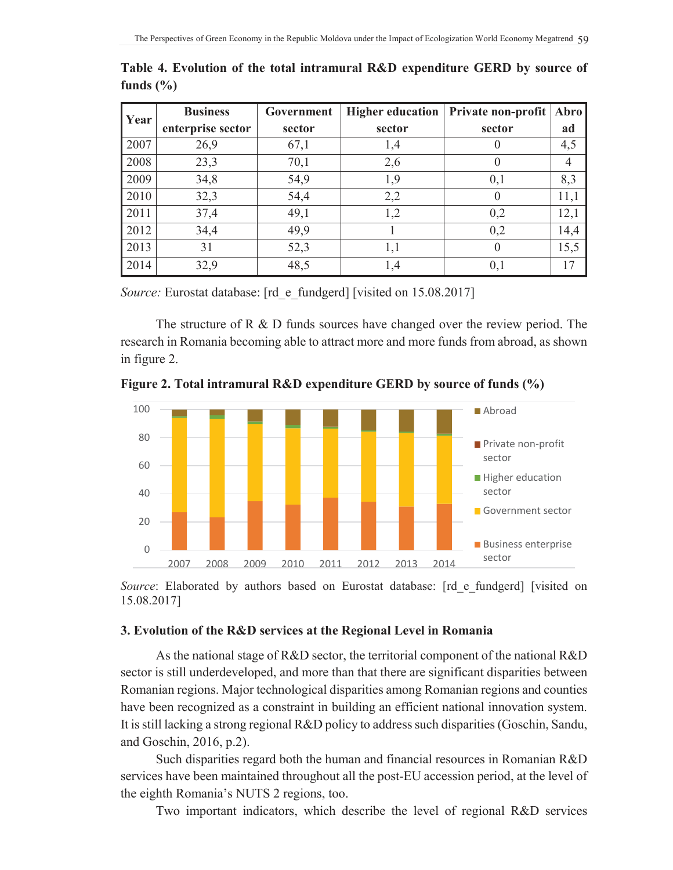| Year              | <b>Business</b> | Government | Higher education | Private non-profit | Abro |
|-------------------|-----------------|------------|------------------|--------------------|------|
| enterprise sector |                 | sector     | sector           | sector             | ad   |
| 2007              | 26,9            | 67,1       | 1,4              | U                  | 4,5  |
| 2008              | 23,3            | 70,1       | 2,6              | $\theta$           | 4    |
| 2009              | 34,8            | 54,9       | 1,9              | 0,1                | 8,3  |
| 2010              | 32,3            | 54,4       | 2,2              | $\theta$           | 11,1 |
| 2011              | 37,4            | 49,1       | 1,2              | 0,2                | 12,1 |
| 2012              | 34,4            | 49,9       |                  | 0,2                | 14,4 |
| 2013              | 31              | 52,3       | 1,1              | $\theta$           | 15,5 |
| 2014              | 32,9            | 48,5       | 1,4              | 0,1                | 17   |

**Table 4. Evolution of the total intramural R&D expenditure GERD by source of funds (%)**

*Source:* Eurostat database: [rd e fundgerd] [visited on 15.08.2017]

The structure of R & D funds sources have changed over the review period. The research in Romania becoming able to attract more and more funds from abroad, as shown in figure 2.





Source: Elaborated by authors based on Eurostat database: [rd e fundgerd] [visited on 15.08.2017]

# **3. Evolution of the R&D services at the Regional Level in Romania**

As the national stage of R&D sector, the territorial component of the national R&D sector is still underdeveloped, and more than that there are significant disparities between Romanian regions. Major technological disparities among Romanian regions and counties have been recognized as a constraint in building an efficient national innovation system. It is still lacking a strong regional R&D policy to address such disparities (Goschin, Sandu, and Goschin, 2016, p.2).

Such disparities regard both the human and financial resources in Romanian R&D services have been maintained throughout all the post-EU accession period, at the level of the eighth Romania's NUTS 2 regions, too.

Two important indicators, which describe the level of regional R&D services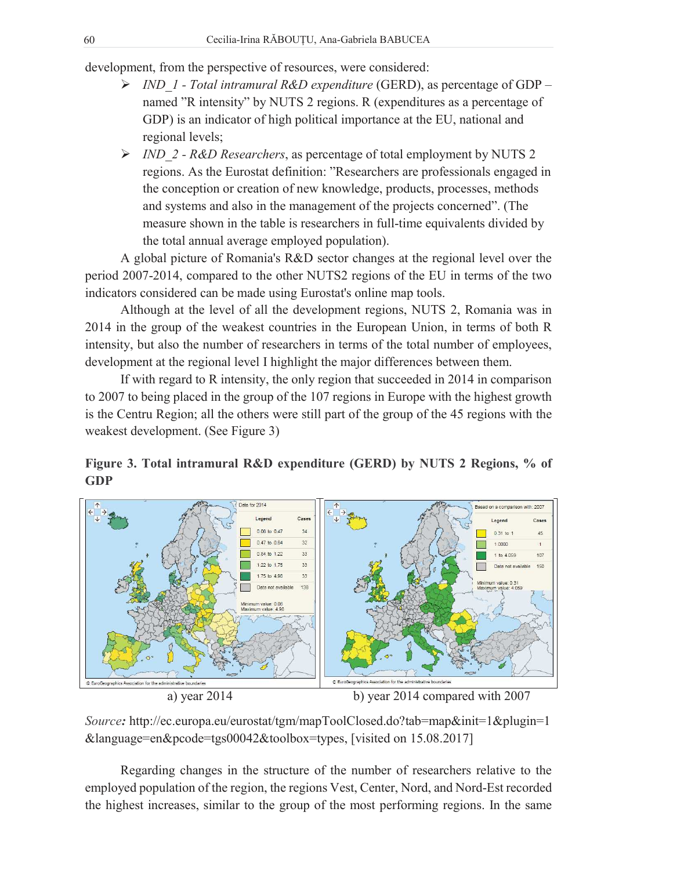development, from the perspective of resources, were considered:

- ¾ *IND\_1 Total intramural R&D expenditure* (GERD), as percentage of GDP named "R intensity" by NUTS 2 regions. R (expenditures as a percentage of GDP) is an indicator of high political importance at the EU, national and regional levels;
- ¾ *IND\_2 R&D Researchers*, as percentage of total employment by NUTS 2 regions. As the Eurostat definition: "Researchers are professionals engaged in the conception or creation of new knowledge, products, processes, methods and systems and also in the management of the projects concerned". (The measure shown in the table is researchers in full-time equivalents divided by the total annual average employed population).

A global picture of Romania's R&D sector changes at the regional level over the period 2007-2014, compared to the other NUTS2 regions of the EU in terms of the two indicators considered can be made using Eurostat's online map tools.

Although at the level of all the development regions, NUTS 2, Romania was in 2014 in the group of the weakest countries in the European Union, in terms of both R intensity, but also the number of researchers in terms of the total number of employees, development at the regional level I highlight the major differences between them.

If with regard to R intensity, the only region that succeeded in 2014 in comparison to 2007 to being placed in the group of the 107 regions in Europe with the highest growth is the Centru Region; all the others were still part of the group of the 45 regions with the weakest development. (See Figure 3)





a) year 2014 b) year 2014 compared with 2007

*Source:* http://ec.europa.eu/eurostat/tgm/mapToolClosed.do?tab=map&init=1&plugin=1 &language=en&pcode=tgs00042&toolbox=types, [visited on 15.08.2017]

Regarding changes in the structure of the number of researchers relative to the employed population of the region, the regions Vest, Center, Nord, and Nord-Est recorded the highest increases, similar to the group of the most performing regions. In the same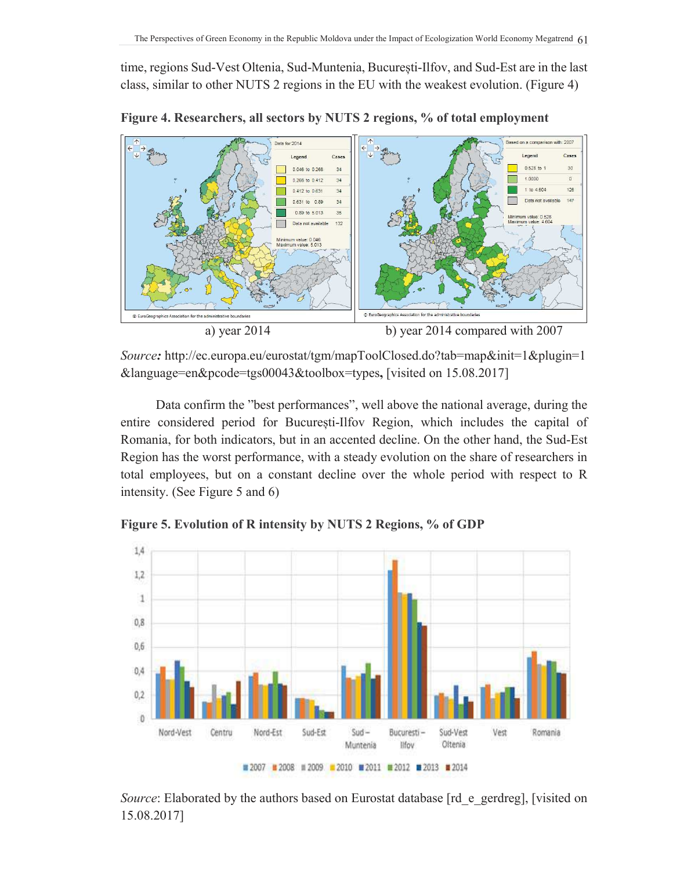time, regions Sud-Vest Oltenia, Sud-Muntenia, Bucuresti-Ilfov, and Sud-Est are in the last class, similar to other NUTS 2 regions in the EU with the weakest evolution. (Figure 4)



**Figure 4. Researchers, all sectors by NUTS 2 regions, % of total employment**

*Source:* http://ec.europa.eu/eurostat/tgm/mapToolClosed.do?tab=map&init=1&plugin=1 &language=en&pcode=tgs00043&toolbox=types**,** [visited on 15.08.2017]

Data confirm the "best performances", well above the national average, during the entire considered period for București-Ilfov Region, which includes the capital of Romania, for both indicators, but in an accented decline. On the other hand, the Sud-Est Region has the worst performance, with a steady evolution on the share of researchers in total employees, but on a constant decline over the whole period with respect to R intensity. (See Figure 5 and 6)

 $1.4$  $1,2$  $\mathbf 1$  $0,8$ 0,6  $0,4$  $0,2$  $\theta$ Nord-Vest Sud-Est Centru Nord-Est  $Sud -$ București -Sud-Vest Vest Romania Muntenia Oltenia lifov ■ 2007 ■ 2008 Ⅲ 2009 ■ 2010 ■ 2011 ■ 2012 ■ 2013 ■ 2014

**Figure 5. Evolution of R intensity by NUTS 2 Regions, % of GDP**

*Source*: Elaborated by the authors based on Eurostat database [rd e gerdreg], [visited on 15.08.2017]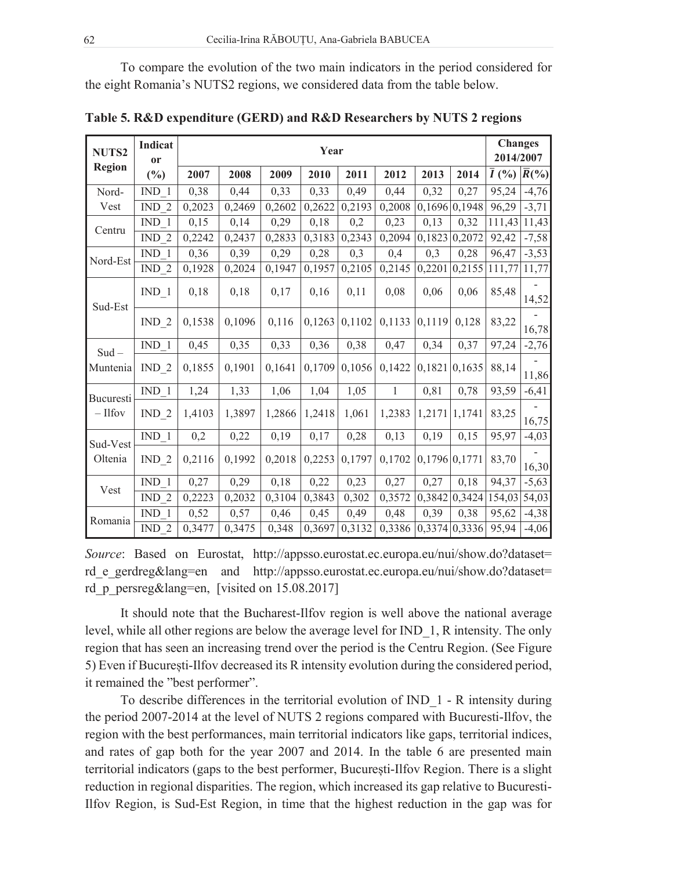To compare the evolution of the two main indicators in the period considered for the eight Romania's NUTS2 regions, we considered data from the table below.

| NUTS2            | Indicat<br><sub>or</sub> |        |        | <b>Changes</b><br>2014/2007 |        |        |              |        |               |                    |                    |
|------------------|--------------------------|--------|--------|-----------------------------|--------|--------|--------------|--------|---------------|--------------------|--------------------|
| <b>Region</b>    | $(\%)$                   | 2007   | 2008   | 2009                        | 2010   | 2011   | 2012         | 2013   | 2014          | $\overline{I}$ (%) | $\overline{R}($ %) |
| Nord-            | IND <sub>1</sub>         | 0,38   | 0,44   | 0,33                        | 0,33   | 0,49   | 0,44         | 0,32   | 0,27          | 95,24              | $-4,76$            |
| Vest             | IND $2$                  | 0,2023 | 0,2469 | 0,2602                      | 0,2622 | 0,2193 | 0,2008       |        | 0,1696 0,1948 | 96,29              | $-3,71$            |
| Centru           | IND <sub>1</sub>         | 0,15   | 0,14   | 0,29                        | 0,18   | 0,2    | 0,23         | 0,13   | 0,32          | 111,43             | 11,43              |
|                  | IND $2$                  | 0,2242 | 0,2437 | 0,2833                      | 0,3183 | 0,2343 | 0,2094       | 0,1823 | 0,2072        | 92,42              | $-7,58$            |
| Nord-Est         | IND <sub>1</sub>         | 0,36   | 0,39   | 0,29                        | 0,28   | 0,3    | 0,4          | 0,3    | 0,28          | 96,47              | $-3,53$            |
|                  | $IND_2$                  | 0,1928 | 0,2024 | 0,1947                      | 0,1957 | 0,2105 | 0,2145       | 0,2201 | 0,2155        | 111,77             | 11,77              |
| Sud-Est          | $IND_1$                  | 0,18   | 0,18   | 0,17                        | 0,16   | 0,11   | 0,08         | 0,06   | 0,06          | 85,48              | 14,52              |
|                  | $IND_2$                  | 0,1538 | 0,1096 | 0,116                       | 0,1263 | 0,1102 | 0,1133       | 0,1119 | 0,128         | 83,22              | 16,78              |
| $Sud -$          | $IND_1$                  | 0,45   | 0,35   | 0,33                        | 0,36   | 0,38   | 0,47         | 0,34   | 0,37          | 97,24              | $-2,76$            |
| Muntenia         | $IND_2$                  | 0,1855 | 0,1901 | 0,1641                      | 0,1709 | 0,1056 | 0,1422       |        | 0,1821 0,1635 | 88,14              | 11,86              |
| <b>Bucuresti</b> | $IND_1$                  | 1,24   | 1,33   | 1,06                        | 1,04   | 1,05   | $\mathbf{1}$ | 0,81   | 0,78          | 93,59              | $-6,41$            |
| $-$ Ilfov        | $IND_2$                  | 1,4103 | 1,3897 | 1,2866                      | 1,2418 | 1,061  | 1,2383       | 1,2171 | 1,1741        | 83,25              | 16,75              |
| Sud-Vest         | IND <sub>1</sub>         | 0,2    | 0,22   | 0,19                        | 0,17   | 0,28   | 0,13         | 0,19   | 0,15          | 95,97              | $-4,03$            |
| Oltenia          | $IND_2$                  | 0,2116 | 0,1992 | 0,2018                      | 0,2253 | 0,1797 | 0,1702       |        | 0,1796 0,1771 | 83,70              | 16,30              |
| Vest             | IND <sub>1</sub>         | 0,27   | 0,29   | 0,18                        | 0,22   | 0,23   | 0,27         | 0,27   | 0,18          | 94,37              | $-5,63$            |
|                  | IND $2$                  | 0,2223 | 0,2032 | 0,3104                      | 0,3843 | 0,302  | 0,3572       |        | 0,3842 0,3424 | 154,03             | 54,03              |
| Romania          | IND <sub>1</sub>         | 0,52   | 0,57   | 0,46                        | 0,45   | 0,49   | 0,48         | 0,39   | 0,38          | 95,62              | $-4,38$            |
|                  | $IND_2$                  | 0,3477 | 0,3475 | 0,348                       | 0,3697 | 0,3132 | 0,3386       |        | 0,3374 0,3336 | 95,94              | $-4,06$            |

**Table 5. R&D expenditure (GERD) and R&D Researchers by NUTS 2 regions**

*Source*: Based on Eurostat, http://appsso.eurostat.ec.europa.eu/nui/show.do?dataset= rd e gerdreg&lang=en and http://appsso.eurostat.ec.europa.eu/nui/show.do?dataset= rd p persreg&lang=en, [visited on 15.08.2017]

It should note that the Bucharest-Ilfov region is well above the national average level, while all other regions are below the average level for IND\_1, R intensity. The only region that has seen an increasing trend over the period is the Centru Region. (See Figure 5) Even if Bucuresti-Ilfov decreased its R intensity evolution during the considered period, it remained the "best performer".

To describe differences in the territorial evolution of IND\_1 - R intensity during the period 2007-2014 at the level of NUTS 2 regions compared with Bucuresti-Ilfov, the region with the best performances, main territorial indicators like gaps, territorial indices, and rates of gap both for the year 2007 and 2014. In the table 6 are presented main territorial indicators (gaps to the best performer, Bucuresti-Ilfov Region. There is a slight reduction in regional disparities. The region, which increased its gap relative to Bucuresti-Ilfov Region, is Sud-Est Region, in time that the highest reduction in the gap was for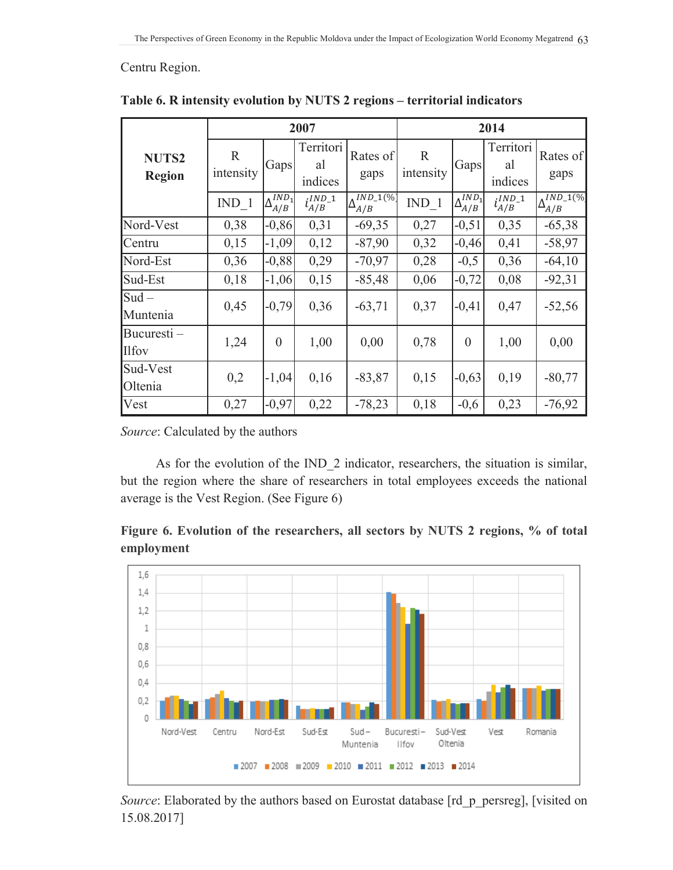#### Centru Region.

|                               |                          | 2007                               |                            | 2014                                         |                           |                        |                            |                             |
|-------------------------------|--------------------------|------------------------------------|----------------------------|----------------------------------------------|---------------------------|------------------------|----------------------------|-----------------------------|
| <b>NUTS2</b><br><b>Region</b> | $\mathbf R$<br>intensity | Gaps                               | Territori<br>al<br>indices | Rates of<br>gaps                             | $\mathbb{R}$<br>intensity | Gaps                   | Territori<br>al<br>indices | Rates of<br>gaps            |
|                               | $IND_1$                  | IND <sub>1</sub><br>$\Delta_{A/B}$ | $i_{A/B}^{IND\_1}$         | $\Lambda$ <i>IND_</i> 1(%)<br>$\Delta_{A/B}$ | IND <sub>1</sub>          | $\Delta_{A/B}^{IND_1}$ | $i_{A/B}^{IND\_1}$         | $\Delta_{A/B}^{IND\_1(\%)}$ |
| Nord-Vest                     | 0,38                     | $-0,86$                            | 0,31                       | $-69,35$                                     | 0,27                      | $-0,51$                | 0,35                       | $-65,38$                    |
| Centru                        | 0,15                     | $-1,09$                            | 0,12                       | $-87,90$                                     | 0,32                      | $-0,46$                | 0,41                       | $-58,97$                    |
| Nord-Est                      | 0,36                     | $-0,88$                            | 0,29                       | $-70,97$                                     | 0,28                      | $-0,5$                 | 0,36                       | $-64,10$                    |
| Sud-Est                       | 0,18                     | $-1,06$                            | 0,15                       | $-85,48$                                     | 0,06                      | $-0,72$                | 0,08                       | $-92,31$                    |
| $Sud -$<br>Muntenia           | 0,45                     | $-0,79$                            | 0,36                       | $-63,71$                                     | 0,37                      | $-0,41$                | 0,47                       | $-52,56$                    |
| Bucuresti –<br><b>Ilfov</b>   | 1,24                     | $\overline{0}$                     | 1,00                       | 0,00                                         | 0,78                      | $\boldsymbol{0}$       | 1,00                       | 0,00                        |
| Sud-Vest<br>Oltenia           | 0,2                      | $-1,04$                            | 0,16                       | $-83,87$                                     | 0,15                      | $-0,63$                | 0,19                       | $-80,77$                    |
| Vest                          | 0,27                     | $-0,97$                            | 0,22                       | $-78,23$                                     | 0,18                      | $-0,6$                 | 0,23                       | $-76,92$                    |

Table 6. R intensity evolution by NUTS 2 regions - territorial indicators

Source: Calculated by the authors

As for the evolution of the IND<sub>2</sub> indicator, researchers, the situation is similar, but the region where the share of researchers in total employees exceeds the national average is the Vest Region. (See Figure 6)

Figure 6. Evolution of the researchers, all sectors by NUTS 2 regions, % of total employment



Source: Elaborated by the authors based on Eurostat database [rd\_p\_persreg], [visited on 15.08.2017]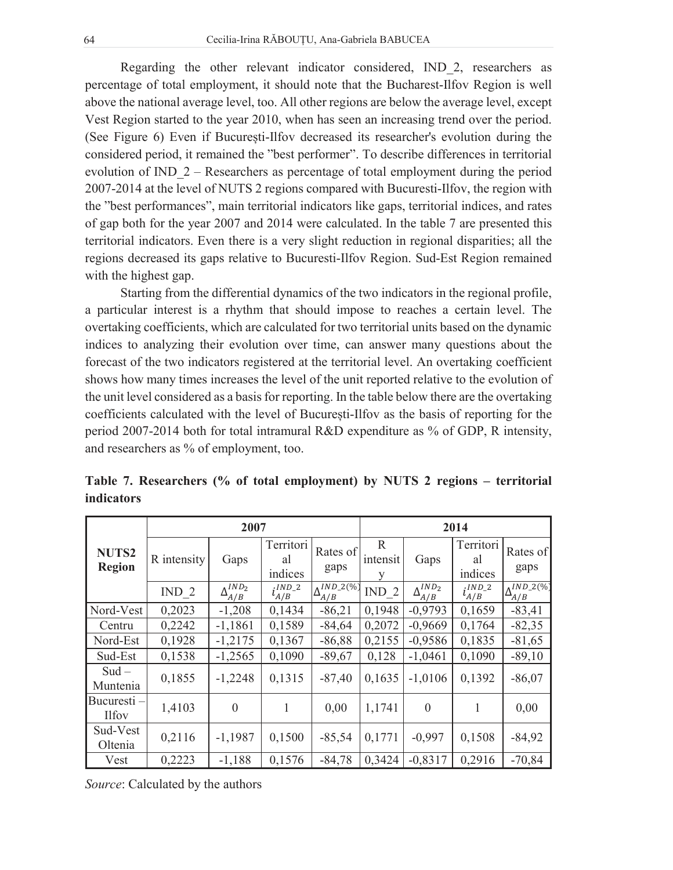Regarding the other relevant indicator considered, IND\_2, researchers as percentage of total employment, it should note that the Bucharest-Ilfov Region is well above the national average level, too. All other regions are below the average level, except Vest Region started to the year 2010, when has seen an increasing trend over the period. (See Figure  $6$ ) Even if Bucuresti-Ilfov decreased its researcher's evolution during the considered period, it remained the "best performer". To describe differences in territorial evolution of IND\_2 – Researchers as percentage of total employment during the period 2007-2014 at the level of NUTS 2 regions compared with Bucuresti-Ilfov, the region with the "best performances", main territorial indicators like gaps, territorial indices, and rates of gap both for the year 2007 and 2014 were calculated. In the table 7 are presented this territorial indicators. Even there is a very slight reduction in regional disparities; all the regions decreased its gaps relative to Bucuresti-Ilfov Region. Sud-Est Region remained with the highest gap.

Starting from the differential dynamics of the two indicators in the regional profile, a particular interest is a rhythm that should impose to reaches a certain level. The overtaking coefficients, which are calculated for two territorial units based on the dynamic indices to analyzing their evolution over time, can answer many questions about the forecast of the two indicators registered at the territorial level. An overtaking coefficient shows how many times increases the level of the unit reported relative to the evolution of the unit level considered as a basis for reporting. In the table below there are the overtaking coefficients calculated with the level of Bucuresti-Ilfov as the basis of reporting for the period 2007-2014 both for total intramural R&D expenditure as % of GDP, R intensity, and researchers as % of employment, too.

|                            |             | 2007                                           |                            | 2014                                            |                               |                                   |                            |                              |
|----------------------------|-------------|------------------------------------------------|----------------------------|-------------------------------------------------|-------------------------------|-----------------------------------|----------------------------|------------------------------|
| NUTS2<br><b>Region</b>     | R intensity | Gaps                                           | Territori<br>al<br>indices | Rates of<br>gaps                                | $\mathbb{R}$<br>intensit<br>v | Gaps                              | Territori<br>al<br>indices | Rates of<br>gaps             |
|                            | IND $2$     | IND <sub>2</sub><br>$\Delta_{A/\underline{B}}$ | $IND_2$<br>$\iota_{A/B}$   | $\sqrt{IND}$ <sub>2</sub> (%)<br>$\Delta_{A/B}$ | IND <sub>2</sub>              | $\overline{\Delta_{A/B}^{IND_2}}$ | $:IND_2$<br>$\iota_{A/B}$  | $NID_2(\%$<br>$\Delta_{A/B}$ |
| Nord-Vest                  | 0,2023      | $-1,208$                                       | 0,1434                     | $-86,21$                                        | 0,1948                        | $-0,9793$                         | 0,1659                     | $-83,41$                     |
| Centru                     | 0,2242      | $-1,1861$                                      | 0,1589                     | $-84,64$                                        | 0,2072                        | $-0,9669$                         | 0,1764                     | $-82,35$                     |
| Nord-Est                   | 0,1928      | $-1,2175$                                      | 0,1367                     | $-86,88$                                        | 0,2155                        | $-0,9586$                         | 0,1835                     | $-81,65$                     |
| Sud-Est                    | 0,1538      | $-1,2565$                                      | 0,1090                     | $-89,67$                                        | 0,128                         | $-1,0461$                         | 0,1090                     | $-89,10$                     |
| $Sud -$<br>Muntenia        | 0,1855      | $-1,2248$                                      | 0,1315                     | $-87,40$                                        | 0,1635                        | $-1,0106$                         | 0,1392                     | $-86,07$                     |
| Bucuresti-<br><b>Ilfov</b> | 1,4103      | $\boldsymbol{0}$                               | 1                          | 0,00                                            | 1,1741                        | $\theta$                          | 1                          | 0,00                         |
| Sud-Vest<br>Oltenia        | 0,2116      | $-1,1987$                                      | 0,1500                     | $-85,54$                                        | 0,1771                        | $-0,997$                          | 0,1508                     | $-84,92$                     |
| Vest                       | 0,2223      | $-1,188$                                       | 0,1576                     | $-84,78$                                        | 0.3424                        | $-0,8317$                         | 0,2916                     | $-70,84$                     |

**Table 7. Researchers (% of total employment) by NUTS 2 regions – territorial indicators**

*Source*: Calculated by the authors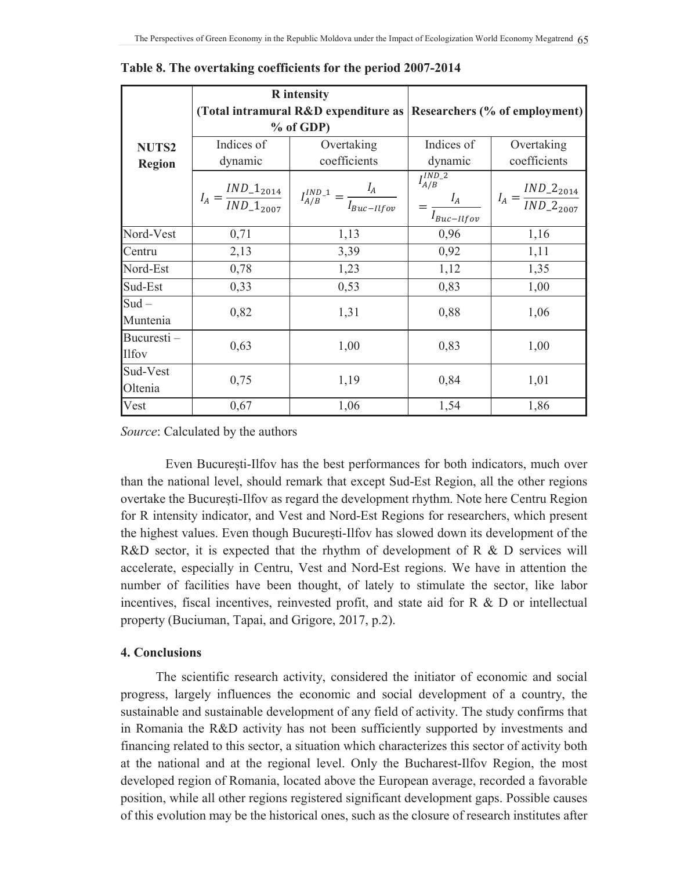|                            |                                                                                                   | <b>R</b> intensity |                                                                    |                                             |  |  |
|----------------------------|---------------------------------------------------------------------------------------------------|--------------------|--------------------------------------------------------------------|---------------------------------------------|--|--|
|                            |                                                                                                   |                    | (Total intramural R&D expenditure as Researchers (% of employment) |                                             |  |  |
|                            |                                                                                                   | $%$ of GDP)        |                                                                    |                                             |  |  |
| NUTS2                      | Indices of                                                                                        | Overtaking         | Indices of                                                         | Overtaking                                  |  |  |
| <b>Region</b>              | dynamic                                                                                           | coefficients       | dynamic                                                            | coefficients                                |  |  |
|                            | $I_A = \frac{IND_{-}1_{2014}}{IND_{-}1_{2007}}$<br>$I_{A/B}^{IND\_1} = \frac{I_A}{I_{Buc-IIfov}}$ |                    | $I_{A/B}^{IND_2}$<br>$I_A$<br>$I_{Buc-Ilfov}$                      | $I_A = \frac{IND\_2_{2014}}{IND\_2_{2007}}$ |  |  |
| Nord-Vest                  | 0,71                                                                                              | 1,13               | 0,96                                                               | 1,16                                        |  |  |
| Centru                     | 2,13                                                                                              | 3,39               | 0,92                                                               | 1,11                                        |  |  |
| Nord-Est                   | 0,78                                                                                              | 1,23               | 1,12                                                               | 1,35                                        |  |  |
| Sud-Est                    | 0,33                                                                                              | 0,53               | 0,83                                                               | 1,00                                        |  |  |
| $Sud -$<br>Muntenia        | 0,82                                                                                              | 1,31               | 0,88                                                               | 1,06                                        |  |  |
| Bucuresti-<br><b>Ilfov</b> | 0,63                                                                                              | 1,00               | 0,83                                                               | 1,00                                        |  |  |
| Sud-Vest<br>Oltenia        | 0,75                                                                                              | 1,19               | 0,84                                                               | 1,01                                        |  |  |
| Vest                       | 0,67                                                                                              | 1,06               | 1,54                                                               | 1,86                                        |  |  |

Table 8. The overtaking coefficients for the period 2007-2014

Source: Calculated by the authors

Even Bucuresti-Ilfov has the best performances for both indicators, much over than the national level, should remark that except Sud-Est Region, all the other regions overtake the București-Ilfov as regard the development rhythm. Note here Centru Region for R intensity indicator, and Vest and Nord-Est Regions for researchers, which present the highest values. Even though Bucuresti-Ilfov has slowed down its development of the R&D sector, it is expected that the rhythm of development of R & D services will accelerate, especially in Centru, Vest and Nord-Est regions. We have in attention the number of facilities have been thought, of lately to stimulate the sector, like labor incentives, fiscal incentives, reinvested profit, and state aid for  $R \& D$  or intellectual property (Buciuman, Tapai, and Grigore, 2017, p.2).

### **4. Conclusions**

The scientific research activity, considered the initiator of economic and social progress, largely influences the economic and social development of a country, the sustainable and sustainable development of any field of activity. The study confirms that in Romania the R&D activity has not been sufficiently supported by investments and financing related to this sector, a situation which characterizes this sector of activity both at the national and at the regional level. Only the Bucharest-Ilfov Region, the most developed region of Romania, located above the European average, recorded a favorable position, while all other regions registered significant development gaps. Possible causes of this evolution may be the historical ones, such as the closure of research institutes after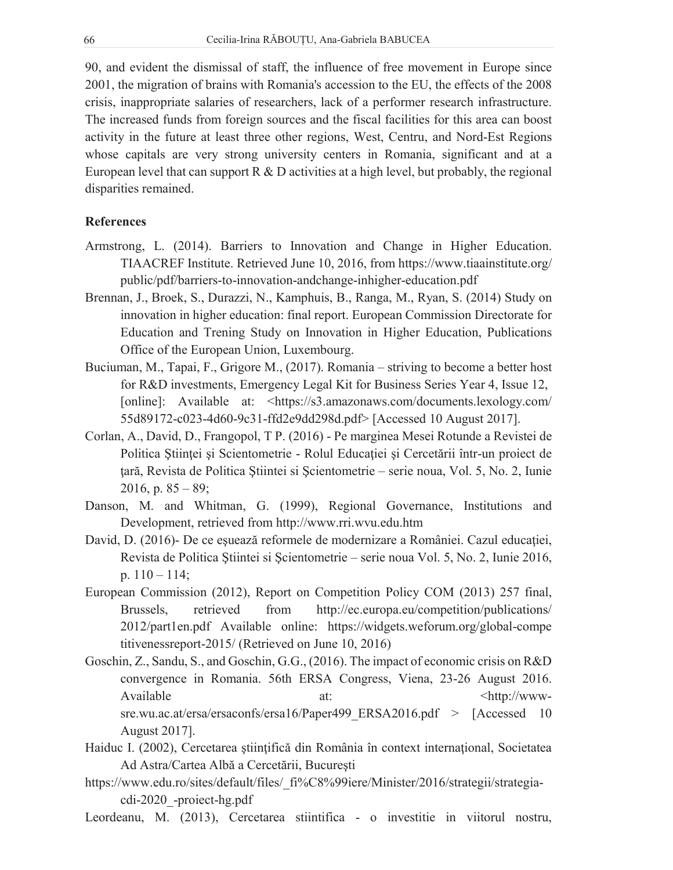90, and evident the dismissal of staff, the influence of free movement in Europe since 2001, the migration of brains with Romania's accession to the EU, the effects of the 2008 crisis, inappropriate salaries of researchers, lack of a performer research infrastructure. The increased funds from foreign sources and the fiscal facilities for this area can boost activity in the future at least three other regions, West, Centru, and Nord-Est Regions whose capitals are very strong university centers in Romania, significant and at a European level that can support  $R \& D$  activities at a high level, but probably, the regional disparities remained.

#### **References**

- Armstrong, L. (2014). Barriers to Innovation and Change in Higher Education. TIAACREF Institute. Retrieved June 10, 2016, from https://www.tiaainstitute.org/ public/pdf/barriers-to-innovation-andchange-inhigher-education.pdf
- Brennan, J., Broek, S., Durazzi, N., Kamphuis, B., Ranga, M., Ryan, S. (2014) Study on innovation in higher education: final report. European Commission Directorate for Education and Trening Study on Innovation in Higher Education, Publications Office of the European Union, Luxembourg.
- Buciuman, M., Tapai, F., Grigore M., (2017). Romania striving to become a better host for R&D investments, Emergency Legal Kit for Business Series Year 4, Issue 12, [online]: Available at: <https://s3.amazonaws.com/documents.lexology.com/ 55d89172-c023-4d60-9c31-ffd2e9dd298d.pdf> [Accessed 10 August 2017].
- Corlan, A., David, D., Frangopol, T.P. (2016) Pe marginea Mesei Rotunde a Revistei de Politica Stiinței și Scientometrie - Rolul Educației și Cercetării într-un proiect de țară, Revista de Politica Știintei si Șcientometrie - serie noua, Vol. 5, No. 2, Iunie 2016, p.  $85 - 89$ ;
- Danson, M. and Whitman, G. (1999), Regional Governance, Institutions and Development, retrieved from http://www.rri.wvu.edu.htm
- David, D. (2016)- De ce esuează reformele de modernizare a României. Cazul educației, Revista de Politica Știintei si Șcientometrie – serie noua Vol. 5, No. 2, Iunie 2016, p.  $110 - 114$ ;
- European Commission (2012), Report on Competition Policy COM (2013) 257 final, Brussels, retrieved from http://ec.europa.eu/competition/publications/ 2012/part1en.pdf Available online: https://widgets.weforum.org/global-compe titivenessreport-2015/ (Retrieved on June 10, 2016)
- Goschin, Z., Sandu, S., and Goschin, G.G., (2016). The impact of economic crisis on R&D convergence in Romania. 56th ERSA Congress, Viena, 23-26 August 2016. Available at: <http://wwwsre.wu.ac.at/ersa/ersaconfs/ersa16/Paper499 ERSA2016.pdf > [Accessed 10 August 2017].
- Haiduc I. (2002), Cercetarea științifică din România în context internațional, Societatea Ad Astra/Cartea Albă a Cercetării, București
- https://www.edu.ro/sites/default/files/ fi%C8%99iere/Minister/2016/strategii/strategiacdi-2020 -project-hg.pdf
- Leordeanu, M. (2013), Cercetarea stiintifica o investitie in viitorul nostru,